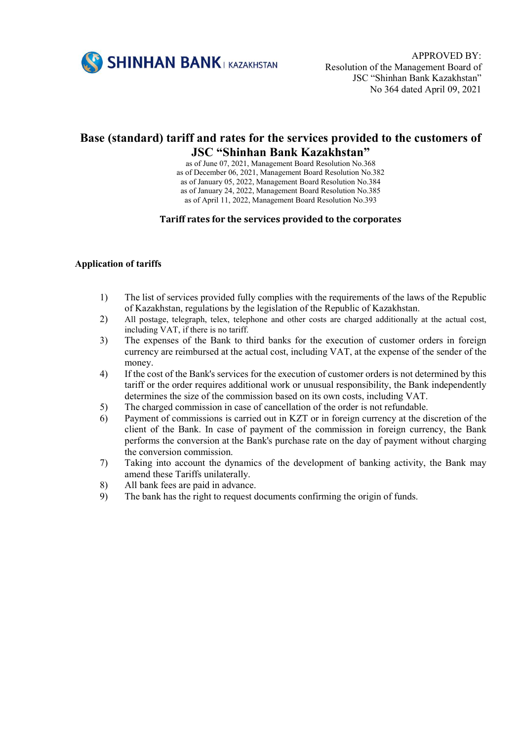

## Base (standard) tariff and rates for the services provided to the customers of JSC "Shinhan Bank Kazakhstan"

as of June 07, 2021, Management Board Resolution No.368 as of December 06, 2021, Management Board Resolution No.382 as of January 05, 2022, Management Board Resolution No.384 as of January 24, 2022, Management Board Resolution No.385 as of April 11, 2022, Management Board Resolution No.393

## Tariff rates for the services provided to the corporates

## Application of tariffs

- 1) The list of services provided fully complies with the requirements of the laws of the Republic of Kazakhstan, regulations by the legislation of the Republic of Kazakhstan.
- 2) All postage, telegraph, telex, telephone and other costs are charged additionally at the actual cost, including VAT, if there is no tariff.
- 3) The expenses of the Bank to third banks for the execution of customer orders in foreign currency are reimbursed at the actual cost, including VAT, at the expense of the sender of the money.
- 4) If the cost of the Bank's services for the execution of customer orders is not determined by this tariff or the order requires additional work or unusual responsibility, the Bank independently determines the size of the commission based on its own costs, including VAT.
- 5) The charged commission in case of cancellation of the order is not refundable.
- 6) Payment of commissions is carried out in KZT or in foreign currency at the discretion of the client of the Bank. In case of payment of the commission in foreign currency, the Bank performs the conversion at the Bank's purchase rate on the day of payment without charging the conversion commission.
- 7) Taking into account the dynamics of the development of banking activity, the Bank may amend these Tariffs unilaterally.
- 8) All bank fees are paid in advance.
- 9) The bank has the right to request documents confirming the origin of funds.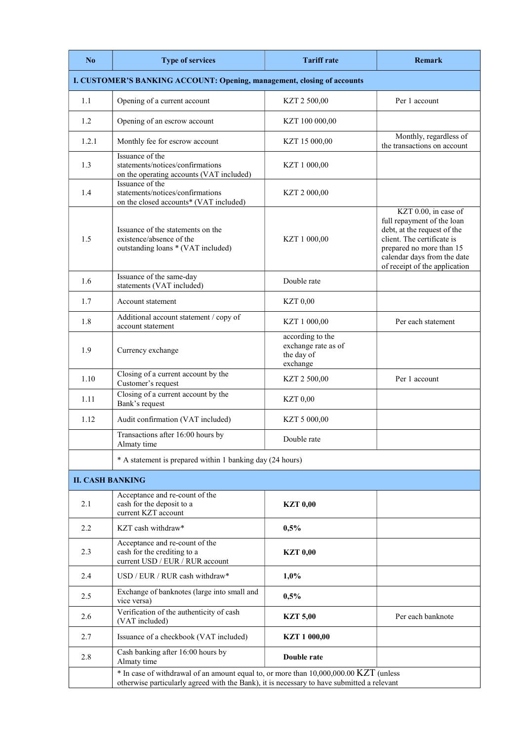| No                      | <b>Type of services</b>                                                                                                                                                               | <b>Tariff rate</b>                                                | <b>Remark</b>                                                                                                                                                                                                  |
|-------------------------|---------------------------------------------------------------------------------------------------------------------------------------------------------------------------------------|-------------------------------------------------------------------|----------------------------------------------------------------------------------------------------------------------------------------------------------------------------------------------------------------|
|                         | <b>I. CUSTOMER'S BANKING ACCOUNT: Opening, management, closing of accounts</b>                                                                                                        |                                                                   |                                                                                                                                                                                                                |
| 1.1                     | Opening of a current account                                                                                                                                                          | KZT 2 500,00                                                      | Per 1 account                                                                                                                                                                                                  |
| 1.2                     | Opening of an escrow account                                                                                                                                                          | KZT 100 000,00                                                    |                                                                                                                                                                                                                |
| 1.2.1                   | Monthly fee for escrow account                                                                                                                                                        | KZT 15 000,00                                                     | Monthly, regardless of<br>the transactions on account                                                                                                                                                          |
| 1.3                     | Issuance of the<br>statements/notices/confirmations<br>on the operating accounts (VAT included)                                                                                       | KZT 1 000,00                                                      |                                                                                                                                                                                                                |
| 1.4                     | Issuance of the<br>statements/notices/confirmations<br>on the closed accounts* (VAT included)                                                                                         | KZT 2 000,00                                                      |                                                                                                                                                                                                                |
| 1.5                     | Issuance of the statements on the<br>existence/absence of the<br>outstanding loans * (VAT included)                                                                                   | KZT 1 000,00                                                      | KZT $0.00$ , in case of<br>full repayment of the loan<br>debt, at the request of the<br>client. The certificate is<br>prepared no more than 15<br>calendar days from the date<br>of receipt of the application |
| 1.6                     | Issuance of the same-day<br>statements (VAT included)                                                                                                                                 | Double rate                                                       |                                                                                                                                                                                                                |
| 1.7                     | Account statement                                                                                                                                                                     | <b>KZT 0,00</b>                                                   |                                                                                                                                                                                                                |
| 1.8                     | Additional account statement / copy of<br>account statement                                                                                                                           | KZT 1 000,00                                                      | Per each statement                                                                                                                                                                                             |
| 1.9                     | Currency exchange                                                                                                                                                                     | according to the<br>exchange rate as of<br>the day of<br>exchange |                                                                                                                                                                                                                |
| 1.10                    | Closing of a current account by the<br>Customer's request                                                                                                                             | KZT 2 500,00                                                      | Per 1 account                                                                                                                                                                                                  |
| 1.11                    | Closing of a current account by the<br>Bank's request                                                                                                                                 | <b>KZT 0,00</b>                                                   |                                                                                                                                                                                                                |
| 1.12                    | Audit confirmation (VAT included)                                                                                                                                                     | KZT 5 000,00                                                      |                                                                                                                                                                                                                |
|                         | Transactions after 16:00 hours by<br>Almaty time                                                                                                                                      | Double rate                                                       |                                                                                                                                                                                                                |
|                         | * A statement is prepared within 1 banking day (24 hours)                                                                                                                             |                                                                   |                                                                                                                                                                                                                |
| <b>II. CASH BANKING</b> |                                                                                                                                                                                       |                                                                   |                                                                                                                                                                                                                |
| 2.1                     | Acceptance and re-count of the<br>cash for the deposit to a<br>current KZT account                                                                                                    | <b>KZT 0,00</b>                                                   |                                                                                                                                                                                                                |
| 2.2                     | KZT cash withdraw*                                                                                                                                                                    | 0,5%                                                              |                                                                                                                                                                                                                |
| 2.3                     | Acceptance and re-count of the<br>cash for the crediting to a<br>current USD / EUR / RUR account                                                                                      | <b>KZT 0,00</b>                                                   |                                                                                                                                                                                                                |
| 2.4                     | USD / EUR / RUR cash withdraw*                                                                                                                                                        | 1,0%                                                              |                                                                                                                                                                                                                |
| 2.5                     | Exchange of banknotes (large into small and<br>vice versa)                                                                                                                            | 0,5%                                                              |                                                                                                                                                                                                                |
| 2.6                     | Verification of the authenticity of cash<br>(VAT included)                                                                                                                            | <b>KZT 5,00</b>                                                   | Per each banknote                                                                                                                                                                                              |
| 2.7                     | Issuance of a checkbook (VAT included)                                                                                                                                                | <b>KZT 1 000,00</b>                                               |                                                                                                                                                                                                                |
| 2.8                     | Cash banking after 16:00 hours by<br>Almaty time                                                                                                                                      | Double rate                                                       |                                                                                                                                                                                                                |
|                         | $*$ In case of withdrawal of an amount equal to, or more than 10,000,000.00 KZT (unless<br>otherwise particularly agreed with the Bank), it is necessary to have submitted a relevant |                                                                   |                                                                                                                                                                                                                |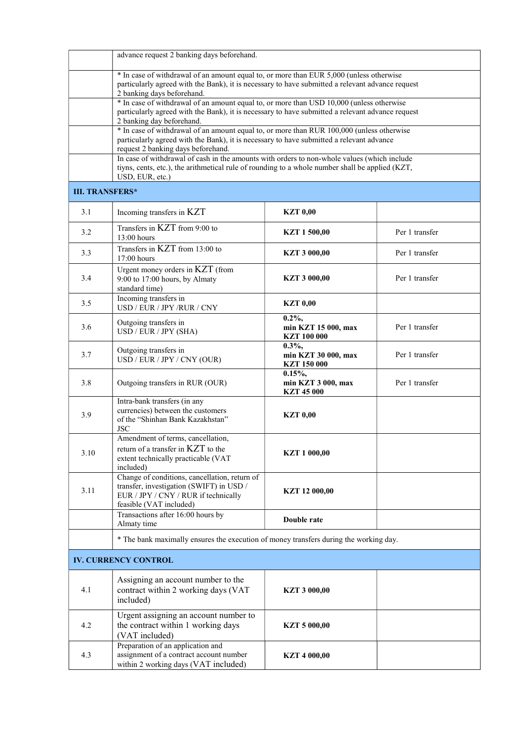|                        | advance request 2 banking days beforehand.                                                                                                                                                                                  |                                                        |                |
|------------------------|-----------------------------------------------------------------------------------------------------------------------------------------------------------------------------------------------------------------------------|--------------------------------------------------------|----------------|
|                        | * In case of withdrawal of an amount equal to, or more than EUR 5,000 (unless otherwise<br>particularly agreed with the Bank), it is necessary to have submitted a relevant advance request<br>2 banking days beforehand.   |                                                        |                |
|                        | * In case of withdrawal of an amount equal to, or more than USD 10,000 (unless otherwise<br>particularly agreed with the Bank), it is necessary to have submitted a relevant advance request<br>2 banking day beforehand.   |                                                        |                |
|                        | * In case of withdrawal of an amount equal to, or more than RUR 100,000 (unless otherwise<br>particularly agreed with the Bank), it is necessary to have submitted a relevant advance<br>request 2 banking days beforehand. |                                                        |                |
|                        | In case of withdrawal of cash in the amounts with orders to non-whole values (which include<br>tiyns, cents, etc.), the arithmetical rule of rounding to a whole number shall be applied (KZT,<br>USD, EUR, etc.)           |                                                        |                |
| <b>III. TRANSFERS*</b> |                                                                                                                                                                                                                             |                                                        |                |
| 3.1                    | Incoming transfers in KZT                                                                                                                                                                                                   | <b>KZT 0,00</b>                                        |                |
| 3.2                    | Transfers in KZT from 9:00 to<br>$13:00$ hours                                                                                                                                                                              | <b>KZT 1 500,00</b>                                    | Per 1 transfer |
| 3.3                    | Transfers in KZT from 13:00 to<br>$17:00$ hours                                                                                                                                                                             | <b>KZT 3 000,00</b>                                    | Per 1 transfer |
| 3.4                    | Urgent money orders in KZT (from<br>9:00 to 17:00 hours, by Almaty<br>standard time)                                                                                                                                        | <b>KZT 3 000,00</b>                                    | Per 1 transfer |
| 3.5                    | Incoming transfers in<br>USD / EUR / JPY /RUR / CNY                                                                                                                                                                         | <b>KZT 0,00</b>                                        |                |
| 3.6                    | Outgoing transfers in<br>USD / EUR / JPY (SHA)                                                                                                                                                                              | $0.2\%$<br>min KZT 15 000, max<br><b>KZT 100 000</b>   | Per 1 transfer |
| 3.7                    | Outgoing transfers in<br>USD / EUR / JPY / CNY (OUR)                                                                                                                                                                        | $0.3\%$ ,<br>min KZT 30 000, max<br><b>KZT 150 000</b> | Per 1 transfer |
| 3.8                    | Outgoing transfers in RUR (OUR)                                                                                                                                                                                             | 0.15%<br>min KZT 3 000, max<br><b>KZT 45 000</b>       | Per 1 transfer |
| 3.9                    | Intra-bank transfers (in any<br>currencies) between the customers<br>of the "Shinhan Bank Kazakhstan"<br><b>JSC</b>                                                                                                         | <b>KZT 0,00</b>                                        |                |
| 3.10                   | Amendment of terms, cancellation,<br>return of a transfer in KZT to the<br>extent technically practicable (VAT<br>included)                                                                                                 | <b>KZT 1 000,00</b>                                    |                |
| 3.11                   | Change of conditions, cancellation, return of<br>transfer, investigation (SWIFT) in USD /<br>EUR / JPY / CNY / RUR if technically<br>feasible (VAT included)                                                                | KZT 12 000,00                                          |                |
|                        | Transactions after 16:00 hours by<br>Almaty time                                                                                                                                                                            | Double rate                                            |                |
|                        | * The bank maximally ensures the execution of money transfers during the working day.                                                                                                                                       |                                                        |                |
|                        | <b>IV. CURRENCY CONTROL</b>                                                                                                                                                                                                 |                                                        |                |
| 4.1                    | Assigning an account number to the<br>contract within 2 working days (VAT<br>included)                                                                                                                                      | <b>KZT 3 000,00</b>                                    |                |
| 4.2                    | Urgent assigning an account number to<br>the contract within 1 working days<br>(VAT included)                                                                                                                               | KZT 5 000,00                                           |                |
| 4.3                    | Preparation of an application and<br>assignment of a contract account number<br>within 2 working days (VAT included)                                                                                                        | <b>KZT 4 000,00</b>                                    |                |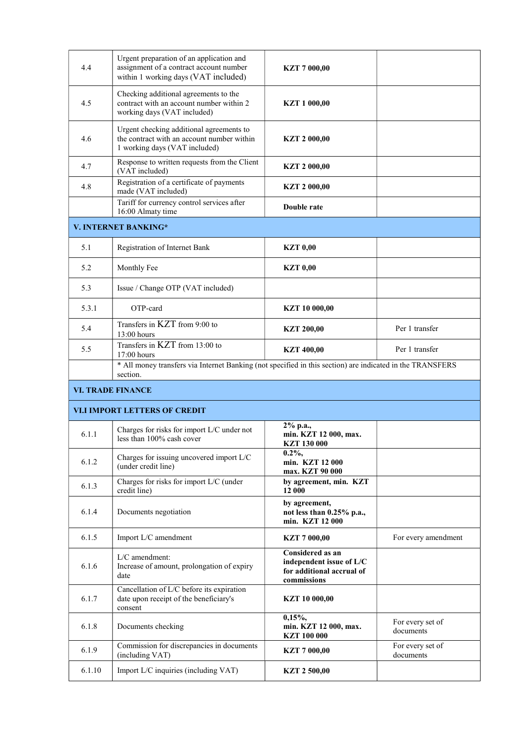| 4.4   | Urgent preparation of an application and<br>assignment of a contract account number<br>within 1 working days (VAT included) | <b>KZT 7 000,00</b>                                                                      |                               |
|-------|-----------------------------------------------------------------------------------------------------------------------------|------------------------------------------------------------------------------------------|-------------------------------|
| 4.5   | Checking additional agreements to the<br>contract with an account number within 2<br>working days (VAT included)            | <b>KZT 1 000,00</b>                                                                      |                               |
| 4.6   | Urgent checking additional agreements to<br>the contract with an account number within<br>1 working days (VAT included)     | <b>KZT 2 000,00</b>                                                                      |                               |
| 4.7   | Response to written requests from the Client<br>(VAT included)                                                              | <b>KZT 2 000,00</b>                                                                      |                               |
| 4.8   | Registration of a certificate of payments<br>made (VAT included)                                                            | <b>KZT 2 000,00</b>                                                                      |                               |
|       | Tariff for currency control services after<br>16:00 Almaty time                                                             | Double rate                                                                              |                               |
|       | V. INTERNET BANKING*                                                                                                        |                                                                                          |                               |
| 5.1   | Registration of Internet Bank                                                                                               | <b>KZT 0,00</b>                                                                          |                               |
| 5.2   | Monthly Fee                                                                                                                 | <b>KZT 0,00</b>                                                                          |                               |
| 5.3   | Issue / Change OTP (VAT included)                                                                                           |                                                                                          |                               |
| 5.3.1 | OTP-card                                                                                                                    | <b>KZT 10 000,00</b>                                                                     |                               |
| 5.4   | Transfers in KZT from 9:00 to<br>$13:00$ hours                                                                              | <b>KZT 200,00</b>                                                                        | Per 1 transfer                |
| 5.5   | Transfers in KZT from 13:00 to<br>$17:00$ hours                                                                             | <b>KZT 400,00</b>                                                                        | Per 1 transfer                |
|       | * All money transfers via Internet Banking (not specified in this section) are indicated in the TRANSFERS<br>section.       |                                                                                          |                               |
|       | <b>VI. TRADE FINANCE</b>                                                                                                    |                                                                                          |                               |
|       | <b>VI.I IMPORT LETTERS OF CREDIT</b>                                                                                        |                                                                                          |                               |
| 6.1.1 | Charges for risks for import L/C under not<br>less than 100% cash cover                                                     | 2% p.a.,<br>min. KZT 12 000, max.<br><b>KZT 130 000</b>                                  |                               |
| 6.1.2 | Charges for issuing uncovered import L/C<br>(under credit line)                                                             | $0.2\%$ ,<br>min. KZT 12 000<br>max. KZT 90 000                                          |                               |
| 6.1.3 | Charges for risks for import L/C (under<br>credit line)                                                                     | by agreement, min. KZT<br>12 000                                                         |                               |
| 6.1.4 | Documents negotiation                                                                                                       | by agreement,<br>not less than 0.25% p.a.,<br>min. KZT 12 000                            |                               |
| 6.1.5 | Import L/C amendment                                                                                                        | <b>KZT 7 000,00</b>                                                                      | For every amendment           |
| 6.1.6 | L/C amendment:<br>Increase of amount, prolongation of expiry<br>date                                                        | Considered as an<br>independent issue of L/C<br>for additional accrual of<br>commissions |                               |
| 6.1.7 | Cancellation of L/C before its expiration<br>date upon receipt of the beneficiary's<br>consent                              | <b>KZT 10 000,00</b>                                                                     |                               |
| 6.1.8 | Documents checking                                                                                                          | 0,15%<br>min. KZT 12 000, max.<br><b>KZT 100 000</b>                                     | For every set of<br>documents |
| 6.1.9 | Commission for discrepancies in documents<br>(including VAT)                                                                | <b>KZT 7 000,00</b>                                                                      | For every set of<br>documents |
|       |                                                                                                                             |                                                                                          |                               |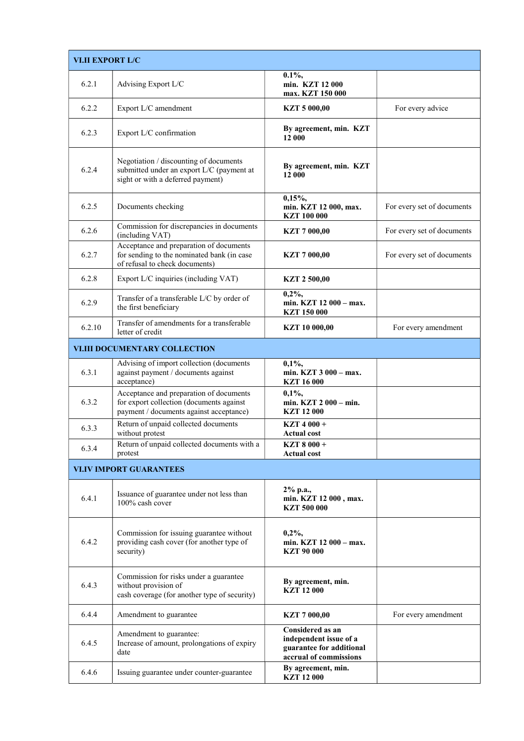| <b>VI.II EXPORT L/C</b> |                                                                                                                                |                                                                                                  |                            |
|-------------------------|--------------------------------------------------------------------------------------------------------------------------------|--------------------------------------------------------------------------------------------------|----------------------------|
| 6.2.1                   | Advising Export L/C                                                                                                            | $0.1\%$ ,<br>min. KZT 12 000<br>max. KZT 150 000                                                 |                            |
| 6.2.2                   | Export L/C amendment                                                                                                           | <b>KZT 5 000,00</b>                                                                              | For every advice           |
| 6.2.3                   | Export L/C confirmation                                                                                                        | By agreement, min. KZT<br>12 000                                                                 |                            |
| 6.2.4                   | Negotiation / discounting of documents<br>submitted under an export L/C (payment at<br>sight or with a deferred payment)       | By agreement, min. KZT<br>12 000                                                                 |                            |
| 6.2.5                   | Documents checking                                                                                                             | 0,15%<br>min. KZT 12 000, max.<br><b>KZT 100 000</b>                                             | For every set of documents |
| 6.2.6                   | Commission for discrepancies in documents<br>(including VAT)                                                                   | <b>KZT 7 000,00</b>                                                                              | For every set of documents |
| 6.2.7                   | Acceptance and preparation of documents<br>for sending to the nominated bank (in case<br>of refusal to check documents)        | <b>KZT 7 000,00</b>                                                                              | For every set of documents |
| 6.2.8                   | Export L/C inquiries (including VAT)                                                                                           | <b>KZT 2500,00</b>                                                                               |                            |
| 6.2.9                   | Transfer of a transferable L/C by order of<br>the first beneficiary                                                            | $0,2\%$<br>min. KZT 12 000 - max.<br><b>KZT 150 000</b>                                          |                            |
| 6.2.10                  | Transfer of amendments for a transferable<br>letter of credit                                                                  | <b>KZT 10 000,00</b>                                                                             | For every amendment        |
|                         | VI.III DOCUMENTARY COLLECTION                                                                                                  |                                                                                                  |                            |
| 6.3.1                   | Advising of import collection (documents<br>against payment / documents against<br>acceptance)                                 | $0.1\%$<br>min. KZT 3 000 - max.<br><b>KZT 16 000</b>                                            |                            |
| 6.3.2                   | Acceptance and preparation of documents<br>for export collection (documents against<br>payment / documents against acceptance) | $0.1\%$ .<br>min. KZT 2 000 - min.<br><b>KZT 12 000</b>                                          |                            |
| 6.3.3                   | Return of unpaid collected documents<br>without protest                                                                        | $KZT$ 4 000 +<br><b>Actual cost</b>                                                              |                            |
| 6.3.4                   | Return of unpaid collected documents with a<br>protest                                                                         | KZT 8 000 +<br><b>Actual cost</b>                                                                |                            |
|                         | <b>VI.IV IMPORT GUARANTEES</b>                                                                                                 |                                                                                                  |                            |
| 6.4.1                   | Issuance of guarantee under not less than<br>100% cash cover                                                                   | 2% p.a.,<br>min. KZT 12 000, max.<br><b>KZT 500 000</b>                                          |                            |
| 6.4.2                   | Commission for issuing guarantee without<br>providing cash cover (for another type of<br>security)                             | $0,2\%$<br>min. KZT 12 000 - max.<br><b>KZT 90 000</b>                                           |                            |
| 6.4.3                   | Commission for risks under a guarantee<br>without provision of<br>cash coverage (for another type of security)                 | By agreement, min.<br><b>KZT 12 000</b>                                                          |                            |
| 6.4.4                   | Amendment to guarantee                                                                                                         | <b>KZT 7 000,00</b>                                                                              | For every amendment        |
| 6.4.5                   | Amendment to guarantee:<br>Increase of amount, prolongations of expiry<br>date                                                 | Considered as an<br>independent issue of a<br>guarantee for additional<br>accrual of commissions |                            |
| 6.4.6                   | Issuing guarantee under counter-guarantee                                                                                      | By agreement, min.<br><b>KZT 12 000</b>                                                          |                            |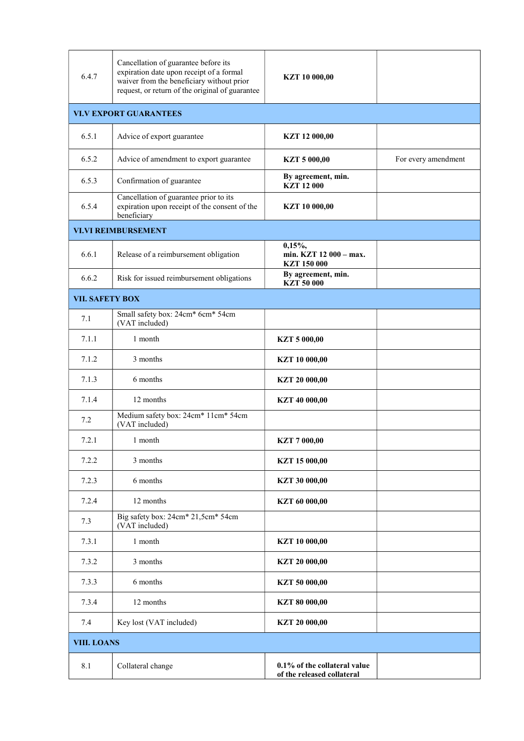| 6.4.7                  | Cancellation of guarantee before its<br>expiration date upon receipt of a formal<br>waiver from the beneficiary without prior<br>request, or return of the original of guarantee | <b>KZT 10 000,00</b>                                       |                     |
|------------------------|----------------------------------------------------------------------------------------------------------------------------------------------------------------------------------|------------------------------------------------------------|---------------------|
|                        | <b>VI.V EXPORT GUARANTEES</b>                                                                                                                                                    |                                                            |                     |
| 6.5.1                  | Advice of export guarantee                                                                                                                                                       | KZT 12 000,00                                              |                     |
| 6.5.2                  | Advice of amendment to export guarantee                                                                                                                                          | <b>KZT 5 000,00</b>                                        | For every amendment |
| 6.5.3                  | Confirmation of guarantee                                                                                                                                                        | By agreement, min.<br><b>KZT 12 000</b>                    |                     |
| 6.5.4                  | Cancellation of guarantee prior to its<br>expiration upon receipt of the consent of the<br>beneficiary                                                                           | <b>KZT 10 000,00</b>                                       |                     |
|                        | <b>VI.VI REIMBURSEMENT</b>                                                                                                                                                       |                                                            |                     |
| 6.6.1                  | Release of a reimbursement obligation                                                                                                                                            | $0,15\%$<br>min. KZT 12 000 - max.<br><b>KZT 150 000</b>   |                     |
| 6.6.2                  | Risk for issued reimbursement obligations                                                                                                                                        | By agreement, min.<br><b>KZT 50 000</b>                    |                     |
| <b>VII. SAFETY BOX</b> |                                                                                                                                                                                  |                                                            |                     |
| 7.1                    | Small safety box: 24cm* 6cm* 54cm<br>(VAT included)                                                                                                                              |                                                            |                     |
| 7.1.1                  | 1 month                                                                                                                                                                          | <b>KZT 5 000,00</b>                                        |                     |
| 7.1.2                  | 3 months                                                                                                                                                                         | KZT 10 000,00                                              |                     |
| 7.1.3                  | 6 months                                                                                                                                                                         | <b>KZT 20 000,00</b>                                       |                     |
| 7.1.4                  | 12 months                                                                                                                                                                        | KZT 40 000,00                                              |                     |
| 7.2                    | Medium safety box: 24cm* 11cm* 54cm<br>(VAT included)                                                                                                                            |                                                            |                     |
| 7.2.1                  | 1 month                                                                                                                                                                          | <b>KZT 7 000,00</b>                                        |                     |
| 7.2.2                  | 3 months                                                                                                                                                                         | KZT 15 000,00                                              |                     |
| 7.2.3                  | 6 months                                                                                                                                                                         | KZT 30 000,00                                              |                     |
| 7.2.4                  | 12 months                                                                                                                                                                        | KZT 60 000,00                                              |                     |
| 7.3                    | Big safety box: 24cm* 21,5cm* 54cm<br>(VAT included)                                                                                                                             |                                                            |                     |
| 7.3.1                  | 1 month                                                                                                                                                                          | KZT 10 000,00                                              |                     |
| 7.3.2                  | 3 months                                                                                                                                                                         | KZT 20 000,00                                              |                     |
| 7.3.3                  | 6 months                                                                                                                                                                         | KZT 50 000,00                                              |                     |
| 7.3.4                  | 12 months                                                                                                                                                                        | KZT 80 000,00                                              |                     |
| 7.4                    | Key lost (VAT included)                                                                                                                                                          | KZT 20 000,00                                              |                     |
| <b>VIII. LOANS</b>     |                                                                                                                                                                                  |                                                            |                     |
| 8.1                    | Collateral change                                                                                                                                                                | 0.1% of the collateral value<br>of the released collateral |                     |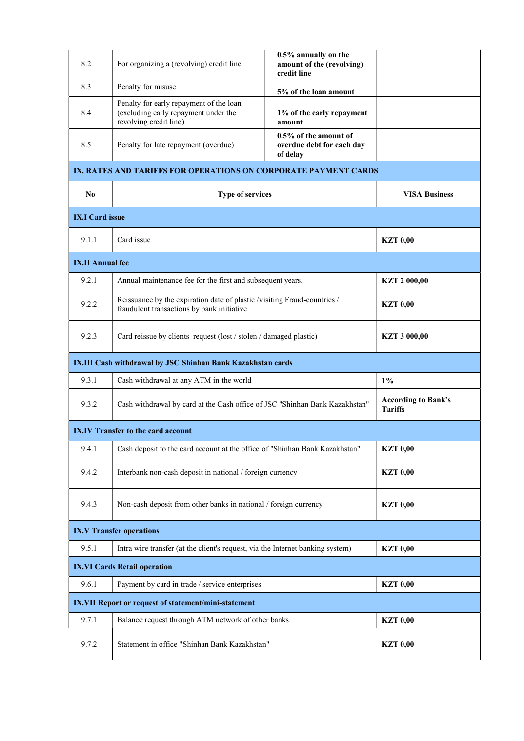| 8.2                     | For organizing a (revolving) credit line                                                                               | 0.5% annually on the<br>amount of the (revolving)<br>credit line |                                              |
|-------------------------|------------------------------------------------------------------------------------------------------------------------|------------------------------------------------------------------|----------------------------------------------|
| 8.3                     | Penalty for misuse                                                                                                     | 5% of the loan amount                                            |                                              |
| 8.4                     | Penalty for early repayment of the loan<br>(excluding early repayment under the<br>revolving credit line)              | 1% of the early repayment<br>amount                              |                                              |
| 8.5                     | Penalty for late repayment (overdue)                                                                                   | 0.5% of the amount of<br>overdue debt for each day<br>of delay   |                                              |
|                         | IX. RATES AND TARIFFS FOR OPERATIONS ON CORPORATE PAYMENT CARDS                                                        |                                                                  |                                              |
| N <sub>0</sub>          | <b>Type of services</b>                                                                                                |                                                                  | <b>VISA Business</b>                         |
| <b>IX.I Card issue</b>  |                                                                                                                        |                                                                  |                                              |
| 9.1.1                   | Card issue                                                                                                             |                                                                  | <b>KZT 0,00</b>                              |
| <b>IX.II Annual fee</b> |                                                                                                                        |                                                                  |                                              |
| 9.2.1                   | Annual maintenance fee for the first and subsequent years.                                                             |                                                                  | <b>KZT 2 000,00</b>                          |
| 9.2.2                   | Reissuance by the expiration date of plastic /visiting Fraud-countries /<br>fraudulent transactions by bank initiative |                                                                  | <b>KZT 0,00</b>                              |
| 9.2.3                   | Card reissue by clients request (lost / stolen / damaged plastic)                                                      |                                                                  | <b>KZT 3 000,00</b>                          |
|                         | IX.III Cash withdrawal by JSC Shinhan Bank Kazakhstan cards                                                            |                                                                  |                                              |
| 9.3.1                   | Cash withdrawal at any ATM in the world                                                                                |                                                                  | $1\%$                                        |
| 9.3.2                   | Cash withdrawal by card at the Cash office of JSC "Shinhan Bank Kazakhstan"                                            |                                                                  | <b>According to Bank's</b><br><b>Tariffs</b> |
|                         | <b>IX.IV Transfer to the card account</b>                                                                              |                                                                  |                                              |
| 9.4.1                   | Cash deposit to the card account at the office of "Shinhan Bank Kazakhstan"                                            |                                                                  | <b>KZT 0,00</b>                              |
| 9.4.2                   | Interbank non-cash deposit in national / foreign currency                                                              |                                                                  | <b>KZT 0,00</b>                              |
| 9.4.3                   | Non-cash deposit from other banks in national / foreign currency                                                       |                                                                  | <b>KZT 0,00</b>                              |
|                         | <b>IX.V Transfer operations</b>                                                                                        |                                                                  |                                              |
| 9.5.1                   | Intra wire transfer (at the client's request, via the Internet banking system)                                         |                                                                  | <b>KZT 0,00</b>                              |
|                         | <b>IX.VI Cards Retail operation</b>                                                                                    |                                                                  |                                              |
| 9.6.1                   | Payment by card in trade / service enterprises                                                                         |                                                                  | <b>KZT 0,00</b>                              |
|                         | IX.VII Report or request of statement/mini-statement                                                                   |                                                                  |                                              |
| 9.7.1                   | Balance request through ATM network of other banks                                                                     |                                                                  | <b>KZT 0,00</b>                              |
| 9.7.2                   | Statement in office "Shinhan Bank Kazakhstan"                                                                          |                                                                  | <b>KZT 0,00</b>                              |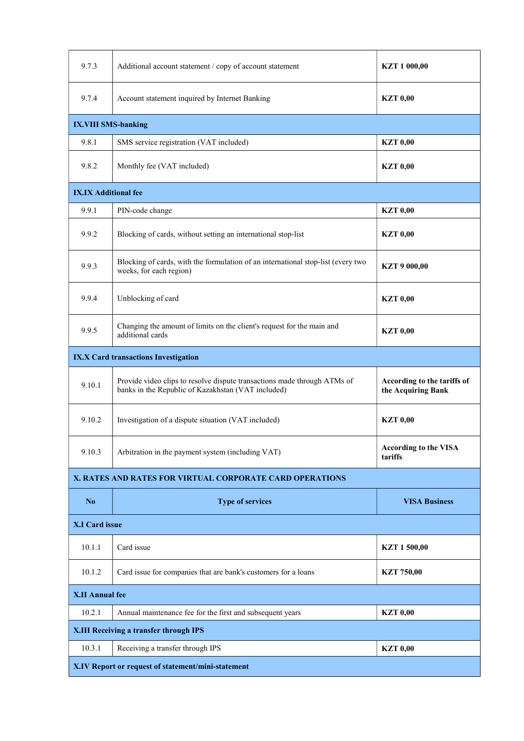| 9.7.3                                                    | Additional account statement / copy of account statement                                                                       | <b>KZT 1 000,00</b>                               |
|----------------------------------------------------------|--------------------------------------------------------------------------------------------------------------------------------|---------------------------------------------------|
| 9.7.4                                                    | Account statement inquired by Internet Banking                                                                                 | <b>KZT 0,00</b>                                   |
| IX.VIII SMS-banking                                      |                                                                                                                                |                                                   |
| 9.8.1                                                    | SMS service registration (VAT included)                                                                                        | <b>KZT 0,00</b>                                   |
| 9.8.2                                                    | Monthly fee (VAT included)                                                                                                     | <b>KZT 0,00</b>                                   |
| <b>IX.IX Additional fee</b>                              |                                                                                                                                |                                                   |
| 9.9.1                                                    | PIN-code change                                                                                                                | <b>KZT 0,00</b>                                   |
| 9.9.2                                                    | Blocking of cards, without setting an international stop-list                                                                  | <b>KZT 0,00</b>                                   |
| 9.9.3                                                    | Blocking of cards, with the formulation of an international stop-list (every two<br>weeks, for each region)                    | <b>KZT 9 000,00</b>                               |
| 9.9.4                                                    | Unblocking of card                                                                                                             | <b>KZT 0,00</b>                                   |
| 9.9.5                                                    | Changing the amount of limits on the client's request for the main and<br>additional cards                                     | <b>KZT 0,00</b>                                   |
|                                                          | IX.X Card transactions Investigation                                                                                           |                                                   |
| 9.10.1                                                   | Provide video clips to resolve dispute transactions made through ATMs of<br>banks in the Republic of Kazakhstan (VAT included) | According to the tariffs of<br>the Acquiring Bank |
| 9.10.2                                                   | Investigation of a dispute situation (VAT included)                                                                            | <b>KZT 0,00</b>                                   |
| 9.10.3                                                   | Arbitration in the payment system (including VAT)                                                                              | According to the VISA<br>tariffs                  |
| X. RATES AND RATES FOR VIRTUAL CORPORATE CARD OPERATIONS |                                                                                                                                |                                                   |
| No.                                                      | <b>Type of services</b>                                                                                                        | <b>VISA Business</b>                              |
| <b>X.I Card issue</b>                                    |                                                                                                                                |                                                   |
| 10.1.1                                                   | Card issue                                                                                                                     | KZT 1500,00                                       |
| 10.1.2                                                   | Card issue for companies that are bank's customers for a loans                                                                 | <b>KZT 750,00</b>                                 |
| <b>X.II Annual fee</b>                                   |                                                                                                                                |                                                   |
| 10.2.1                                                   | Annual maintenance fee for the first and subsequent years                                                                      | <b>KZT 0,00</b>                                   |
|                                                          | X.III Receiving a transfer through IPS                                                                                         |                                                   |
| 10.3.1                                                   | Receiving a transfer through IPS                                                                                               | <b>KZT 0,00</b>                                   |
| X.IV Report or request of statement/mini-statement       |                                                                                                                                |                                                   |